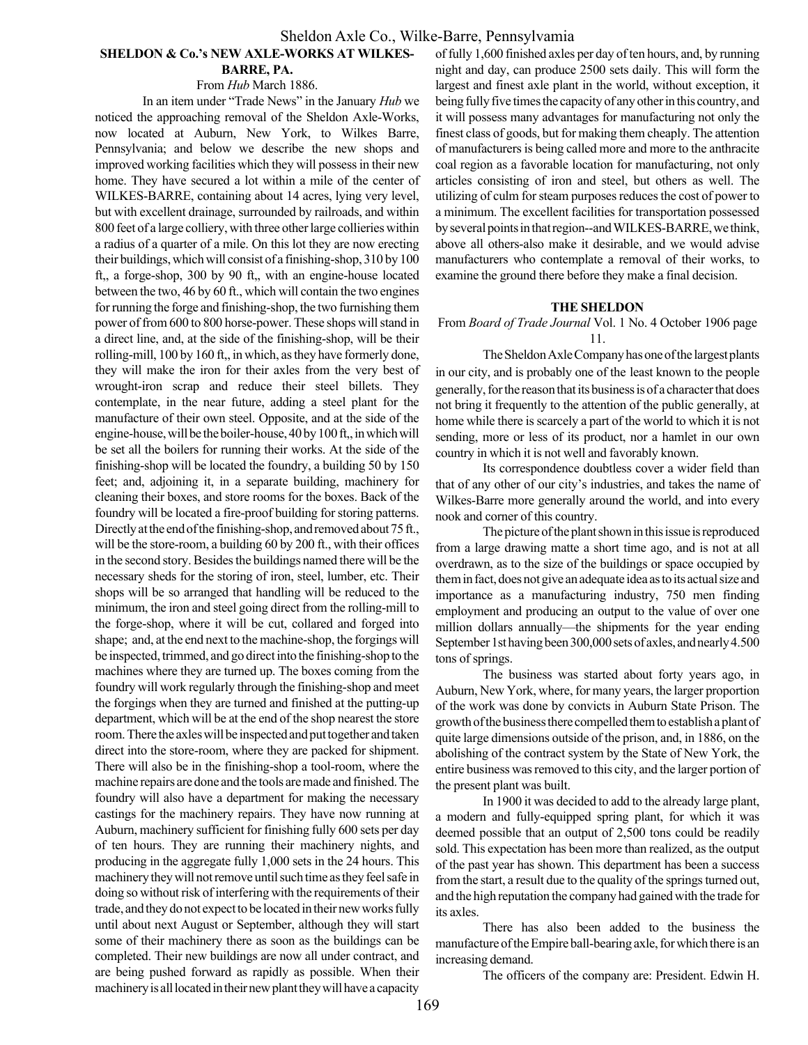#### Sheldon Axle Co., Wilke-Barre, Pennsylvamia

#### SHELDON & Co.'s NEW AXLE-WORKS AT WILKES-BARRE, PA.

#### From Hub March 1886.

In an item under "Trade News" in the January Hub we noticed the approaching removal of the Sheldon Axle-Works, now located at Auburn, New York, to Wilkes Barre, Pennsylvania; and below we describe the new shops and improved working facilities which they will possess in their new home. They have secured a lot within a mile of the center of WILKES-BARRE, containing about 14 acres, lying very level, but with excellent drainage, surrounded by railroads, and within 800 feet of a large colliery, with three other large collieries within a radius of a quarter of a mile. On this lot they are now erecting their buildings, which will consist of a finishing-shop, 310 by 100 ft,, a forge-shop, 300 by 90 ft,, with an engine-house located between the two, 46 by 60 ft., which will contain the two engines for running the forge and finishing-shop, the two furnishing them power of from 600 to 800 horse-power. These shops will stand in a direct line, and, at the side of the finishing-shop, will be their rolling-mill, 100 by 160 ft,, in which, as they have formerly done, they will make the iron for their axles from the very best of wrought-iron scrap and reduce their steel billets. They contemplate, in the near future, adding a steel plant for the manufacture of their own steel. Opposite, and at the side of the engine-house, will be the boiler-house, 40 by 100 ft,, in which will be set all the boilers for running their works. At the side of the finishing-shop will be located the foundry, a building 50 by 150 feet; and, adjoining it, in a separate building, machinery for cleaning their boxes, and store rooms for the boxes. Back of the foundry will be located a fire-proof building for storing patterns. Directly at the end of the finishing-shop, and removed about 75 ft., will be the store-room, a building 60 by 200 ft., with their offices in the second story. Besides the buildings named there will be the necessary sheds for the storing of iron, steel, lumber, etc. Their shops will be so arranged that handling will be reduced to the minimum, the iron and steel going direct from the rolling-mill to the forge-shop, where it will be cut, collared and forged into shape; and, at the end next to the machine-shop, the forgings will be inspected, trimmed, and go direct into the finishing-shop to the machines where they are turned up. The boxes coming from the foundry will work regularly through the finishing-shop and meet the forgings when they are turned and finished at the putting-up department, which will be at the end of the shop nearest the store room. There the axles will be inspected and put together and taken direct into the store-room, where they are packed for shipment. There will also be in the finishing-shop a tool-room, where the machine repairs are done and the tools are made and finished. The foundry will also have a department for making the necessary castings for the machinery repairs. They have now running at Auburn, machinery sufficient for finishing fully 600 sets per day of ten hours. They are running their machinery nights, and producing in the aggregate fully 1,000 sets in the 24 hours. This machinery they will not remove until such time as they feel safe in doing so without risk of interfering with the requirements of their trade, and they do not expect to be located in their new works fully until about next August or September, although they will start some of their machinery there as soon as the buildings can be completed. Their new buildings are now all under contract, and are being pushed forward as rapidly as possible. When their machinery is all located in their new plant they will have a capacity

of fully 1,600 finished axles per day of ten hours, and, by running night and day, can produce 2500 sets daily. This will form the largest and finest axle plant in the world, without exception, it being fully five times the capacity of any other in this country, and it will possess many advantages for manufacturing not only the finest class of goods, but for making them cheaply. The attention of manufacturers is being called more and more to the anthracite coal region as a favorable location for manufacturing, not only articles consisting of iron and steel, but others as well. The utilizing of culm for steam purposes reduces the cost of power to a minimum. The excellent facilities for transportation possessed by several points in that region--and WILKES-BARRE, we think, above all others-also make it desirable, and we would advise manufacturers who contemplate a removal of their works, to examine the ground there before they make a final decision.

#### THE SHELDON

From Board of Trade Journal Vol. 1 No. 4 October 1906 page 11.

The Sheldon Axle Company has one of the largest plants in our city, and is probably one of the least known to the people generally, for the reason that its business is of a character that does not bring it frequently to the attention of the public generally, at home while there is scarcely a part of the world to which it is not sending, more or less of its product, nor a hamlet in our own country in which it is not well and favorably known.

Its correspondence doubtless cover a wider field than that of any other of our city's industries, and takes the name of Wilkes-Barre more generally around the world, and into every nook and corner of this country.

The picture of the plant shown in this issue is reproduced from a large drawing matte a short time ago, and is not at all overdrawn, as to the size of the buildings or space occupied by them in fact, does not give an adequate idea as to its actual size and importance as a manufacturing industry, 750 men finding employment and producing an output to the value of over one million dollars annually—the shipments for the year ending September 1st having been 300,000 sets of axles, and nearly 4.500 tons of springs.

The business was started about forty years ago, in Auburn, New York, where, for many years, the larger proportion of the work was done by convicts in Auburn State Prison. The growth of the business there compelled them to establish a plant of quite large dimensions outside of the prison, and, in 1886, on the abolishing of the contract system by the State of New York, the entire business was removed to this city, and the larger portion of the present plant was built.

In 1900 it was decided to add to the already large plant, a modern and fully-equipped spring plant, for which it was deemed possible that an output of 2,500 tons could be readily sold. This expectation has been more than realized, as the output of the past year has shown. This department has been a success from the start, a result due to the quality of the springs turned out, and the high reputation the company had gained with the trade for its axles.

There has also been added to the business the manufacture of the Empire ball-bearing axle, for which there is an increasing demand.

The officers of the company are: President. Edwin H.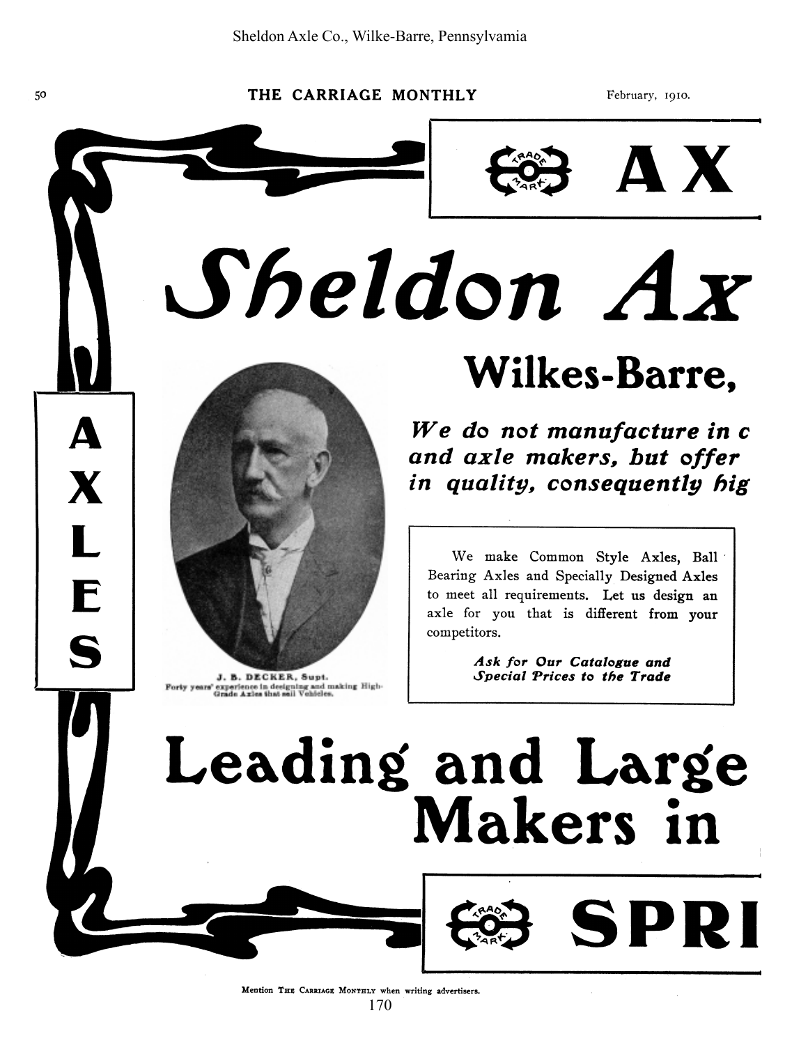$\boldsymbol{\Delta}$ 

X

L

E

S

THE CARRIAGE MONTHLY

February, 1910.



AX.

Sheldon Ax



J. B. DECKER, Supt. Forty years' experience in designing and making High-<br>Grade Axles that sail Vehicles.

### Wilkes-Barre.

We do not manufacture in c and axle makers, but offer in quality, consequently hig

We make Common Style Axles, Ball Bearing Axles and Specially Designed Axles to meet all requirements. Let us design an axle for you that is different from your competitors.

> Ask for Our Catalogue and Special Prices to the Trade

> > SPRI

## Leading and Large **Makers** in

Mention THE CARRIAGE MONTHLY when writing advertisers.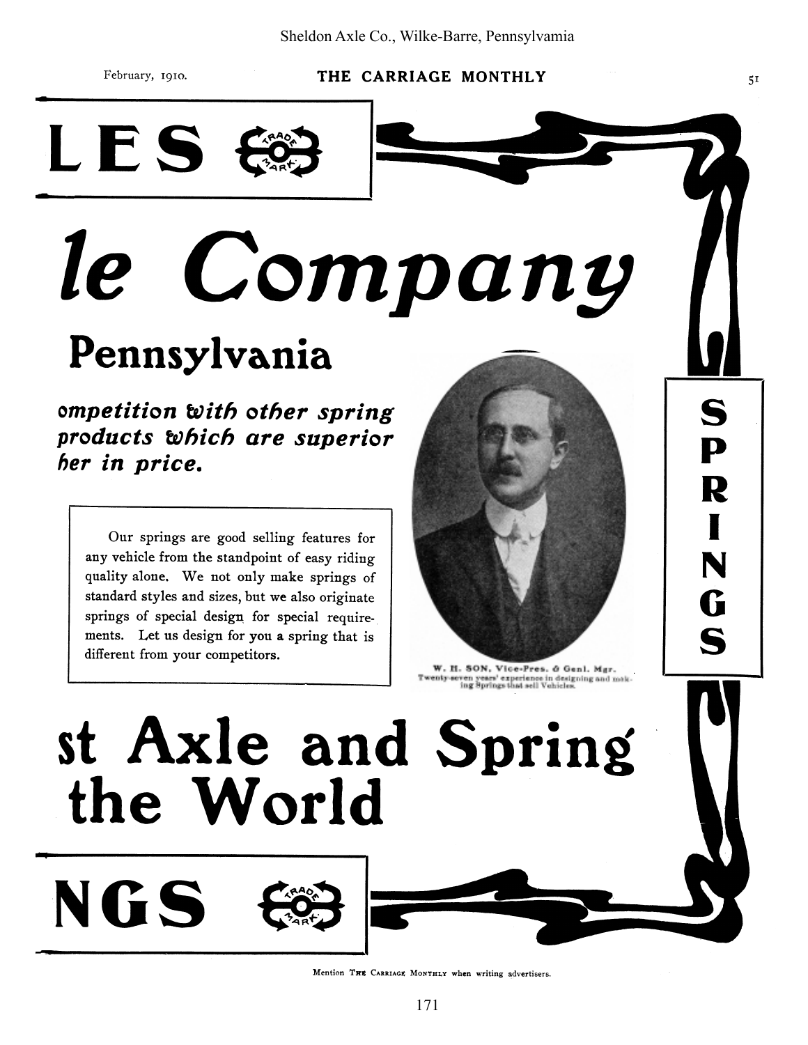February, 1910.

LES

NGS

#### THE CARRIAGE MONTHLY

## Company *le* Pennsylvania

ompetition with other spring products which are superior her in price.

Our springs are good selling features for any vehicle from the standpoint of easy riding quality alone. We not only make springs of standard styles and sizes, but we also originate springs of special design for special requirements. Let us design for you a spring that is different from your competitors.

 $5<sub>I</sub>$ 

S

P

R

N

Ġ

S

W. H. SON, Vice-Pres. & Genl. Mgr. Twenty-seven years' experience in designing and making Springs that sell Vehicles.

# st Axle and Spring the World

Mention THE CARRIAGE MONTHLY when writing advertisers.